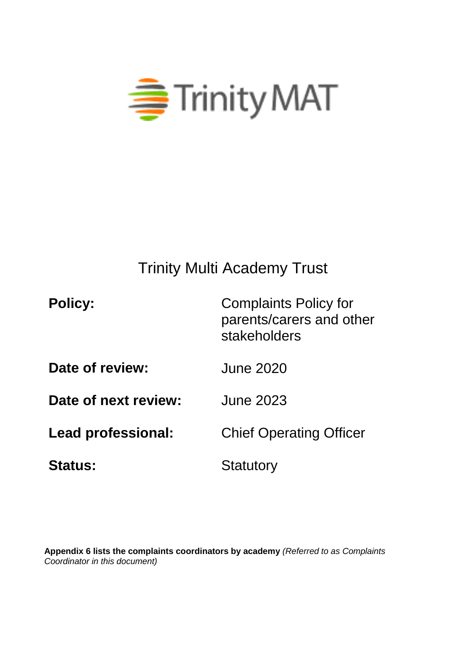

# Trinity Multi Academy Trust

| <b>Policy:</b>       | <b>Complaints Policy for</b><br>parents/carers and other<br>stakeholders |
|----------------------|--------------------------------------------------------------------------|
| Date of review:      | <b>June 2020</b>                                                         |
| Date of next review: | <b>June 2023</b>                                                         |
| Lead professional:   | <b>Chief Operating Officer</b>                                           |
| <b>Status:</b>       | Statutory                                                                |

**Appendix 6 lists the complaints coordinators by academy** *(Referred to as Complaints Coordinator in this document)*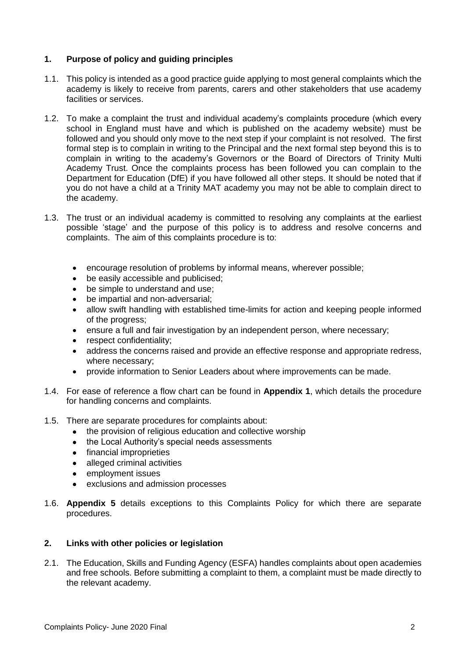# **1. Purpose of policy and guiding principles**

- 1.1. This policy is intended as a good practice guide applying to most general complaints which the academy is likely to receive from parents, carers and other stakeholders that use academy facilities or services.
- 1.2. To make a complaint the trust and individual academy's complaints procedure (which every school in England must have and which is published on the academy website) must be followed and you should only move to the next step if your complaint is not resolved. The first formal step is to complain in writing to the Principal and the next formal step beyond this is to complain in writing to the academy's Governors or the Board of Directors of Trinity Multi Academy Trust. Once the complaints process has been followed you can complain to the Department for Education (DfE) if you have followed all other steps. It should be noted that if you do not have a child at a Trinity MAT academy you may not be able to complain direct to the academy.
- 1.3. The trust or an individual academy is committed to resolving any complaints at the earliest possible 'stage' and the purpose of this policy is to address and resolve concerns and complaints. The aim of this complaints procedure is to:
	- encourage resolution of problems by informal means, wherever possible;
	- be easily accessible and publicised:
	- be simple to understand and use;
	- be impartial and non-adversarial;
	- allow swift handling with established time-limits for action and keeping people informed of the progress;
	- ensure a full and fair investigation by an independent person, where necessary;
	- respect confidentiality;
	- address the concerns raised and provide an effective response and appropriate redress, where necessary;
	- provide information to Senior Leaders about where improvements can be made.
- 1.4. For ease of reference a flow chart can be found in **Appendix 1**, which details the procedure for handling concerns and complaints.
- 1.5. There are separate procedures for complaints about:
	- the provision of religious education and collective worship
	- the Local Authority's special needs assessments
	- financial improprieties
	- alleged criminal activities
	- employment issues
	- exclusions and admission processes
- 1.6. **Appendix 5** details exceptions to this Complaints Policy for which there are separate procedures.

# **2. Links with other policies or legislation**

2.1. The Education, Skills and Funding Agency (ESFA) handles complaints about open academies and free schools. Before submitting a complaint to them, a complaint must be made directly to the relevant academy.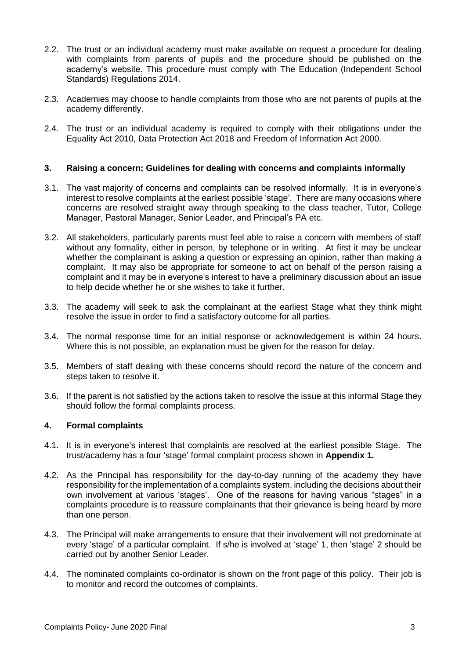- 2.2. The trust or an individual academy must make available on request a procedure for dealing with complaints from parents of pupils and the procedure should be published on the academy's website. This procedure must comply with The Education (Independent School Standards) Regulations 2014.
- 2.3. Academies may choose to handle complaints from those who are not parents of pupils at the academy differently.
- 2.4. The trust or an individual academy is required to comply with their obligations under the Equality Act 2010, Data Protection Act 2018 and Freedom of Information Act 2000.

## **3. Raising a concern; Guidelines for dealing with concerns and complaints informally**

- 3.1. The vast majority of concerns and complaints can be resolved informally. It is in everyone's interest to resolve complaints at the earliest possible 'stage'. There are many occasions where concerns are resolved straight away through speaking to the class teacher, Tutor, College Manager, Pastoral Manager, Senior Leader, and Principal's PA etc.
- 3.2. All stakeholders, particularly parents must feel able to raise a concern with members of staff without any formality, either in person, by telephone or in writing. At first it may be unclear whether the complainant is asking a question or expressing an opinion, rather than making a complaint. It may also be appropriate for someone to act on behalf of the person raising a complaint and it may be in everyone's interest to have a preliminary discussion about an issue to help decide whether he or she wishes to take it further.
- 3.3. The academy will seek to ask the complainant at the earliest Stage what they think might resolve the issue in order to find a satisfactory outcome for all parties.
- 3.4. The normal response time for an initial response or acknowledgement is within 24 hours. Where this is not possible, an explanation must be given for the reason for delay.
- 3.5. Members of staff dealing with these concerns should record the nature of the concern and steps taken to resolve it.
- 3.6. If the parent is not satisfied by the actions taken to resolve the issue at this informal Stage they should follow the formal complaints process.

### **4. Formal complaints**

- 4.1. It is in everyone's interest that complaints are resolved at the earliest possible Stage. The trust/academy has a four 'stage' formal complaint process shown in **Appendix 1.**
- 4.2. As the Principal has responsibility for the day-to-day running of the academy they have responsibility for the implementation of a complaints system, including the decisions about their own involvement at various 'stages'. One of the reasons for having various "stages" in a complaints procedure is to reassure complainants that their grievance is being heard by more than one person.
- 4.3. The Principal will make arrangements to ensure that their involvement will not predominate at every 'stage' of a particular complaint. If s/he is involved at 'stage' 1, then 'stage' 2 should be carried out by another Senior Leader.
- 4.4. The nominated complaints co-ordinator is shown on the front page of this policy. Their job is to monitor and record the outcomes of complaints.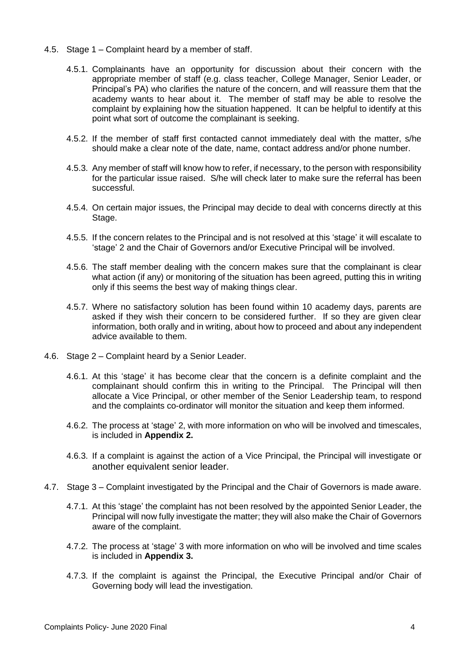- 4.5. Stage 1 Complaint heard by a member of staff.
	- 4.5.1. Complainants have an opportunity for discussion about their concern with the appropriate member of staff (e.g. class teacher, College Manager, Senior Leader, or Principal's PA) who clarifies the nature of the concern, and will reassure them that the academy wants to hear about it. The member of staff may be able to resolve the complaint by explaining how the situation happened. It can be helpful to identify at this point what sort of outcome the complainant is seeking.
	- 4.5.2. If the member of staff first contacted cannot immediately deal with the matter, s/he should make a clear note of the date, name, contact address and/or phone number.
	- 4.5.3. Any member of staff will know how to refer, if necessary, to the person with responsibility for the particular issue raised. S/he will check later to make sure the referral has been successful.
	- 4.5.4. On certain major issues, the Principal may decide to deal with concerns directly at this Stage.
	- 4.5.5. If the concern relates to the Principal and is not resolved at this 'stage' it will escalate to 'stage' 2 and the Chair of Governors and/or Executive Principal will be involved.
	- 4.5.6. The staff member dealing with the concern makes sure that the complainant is clear what action (if any) or monitoring of the situation has been agreed, putting this in writing only if this seems the best way of making things clear.
	- 4.5.7. Where no satisfactory solution has been found within 10 academy days, parents are asked if they wish their concern to be considered further. If so they are given clear information, both orally and in writing, about how to proceed and about any independent advice available to them.
- 4.6. Stage 2 Complaint heard by a Senior Leader.
	- 4.6.1. At this 'stage' it has become clear that the concern is a definite complaint and the complainant should confirm this in writing to the Principal. The Principal will then allocate a Vice Principal, or other member of the Senior Leadership team, to respond and the complaints co-ordinator will monitor the situation and keep them informed.
	- 4.6.2. The process at 'stage' 2, with more information on who will be involved and timescales, is included in **Appendix 2.**
	- 4.6.3. If a complaint is against the action of a Vice Principal, the Principal will investigate or another equivalent senior leader.
- 4.7. Stage 3 Complaint investigated by the Principal and the Chair of Governors is made aware.
	- 4.7.1. At this 'stage' the complaint has not been resolved by the appointed Senior Leader, the Principal will now fully investigate the matter; they will also make the Chair of Governors aware of the complaint.
	- 4.7.2. The process at 'stage' 3 with more information on who will be involved and time scales is included in **Appendix 3.**
	- 4.7.3. If the complaint is against the Principal, the Executive Principal and/or Chair of Governing body will lead the investigation.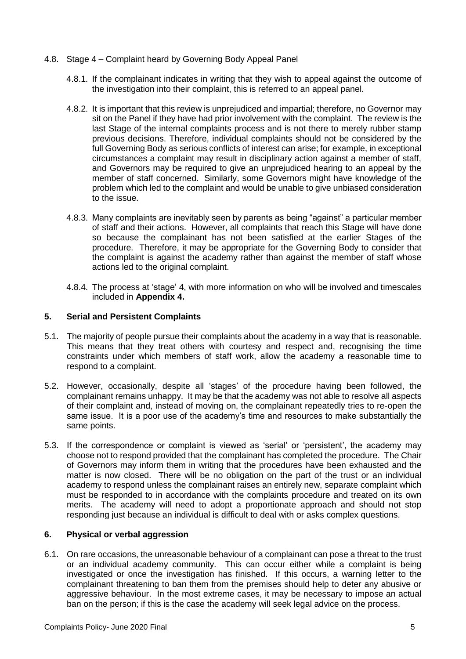- 4.8. Stage 4 Complaint heard by Governing Body Appeal Panel
	- 4.8.1. If the complainant indicates in writing that they wish to appeal against the outcome of the investigation into their complaint, this is referred to an appeal panel.
	- 4.8.2. It is important that this review is unprejudiced and impartial; therefore, no Governor may sit on the Panel if they have had prior involvement with the complaint. The review is the last Stage of the internal complaints process and is not there to merely rubber stamp previous decisions. Therefore, individual complaints should not be considered by the full Governing Body as serious conflicts of interest can arise; for example, in exceptional circumstances a complaint may result in disciplinary action against a member of staff, and Governors may be required to give an unprejudiced hearing to an appeal by the member of staff concerned. Similarly, some Governors might have knowledge of the problem which led to the complaint and would be unable to give unbiased consideration to the issue.
	- 4.8.3. Many complaints are inevitably seen by parents as being "against" a particular member of staff and their actions. However, all complaints that reach this Stage will have done so because the complainant has not been satisfied at the earlier Stages of the procedure. Therefore, it may be appropriate for the Governing Body to consider that the complaint is against the academy rather than against the member of staff whose actions led to the original complaint.
	- 4.8.4. The process at 'stage' 4, with more information on who will be involved and timescales included in **Appendix 4.**

### **5. Serial and Persistent Complaints**

- 5.1. The majority of people pursue their complaints about the academy in a way that is reasonable. This means that they treat others with courtesy and respect and, recognising the time constraints under which members of staff work, allow the academy a reasonable time to respond to a complaint.
- 5.2. However, occasionally, despite all 'stages' of the procedure having been followed, the complainant remains unhappy. It may be that the academy was not able to resolve all aspects of their complaint and, instead of moving on, the complainant repeatedly tries to re-open the same issue. It is a poor use of the academy's time and resources to make substantially the same points.
- 5.3. If the correspondence or complaint is viewed as 'serial' or 'persistent', the academy may choose not to respond provided that the complainant has completed the procedure. The Chair of Governors may inform them in writing that the procedures have been exhausted and the matter is now closed. There will be no obligation on the part of the trust or an individual academy to respond unless the complainant raises an entirely new, separate complaint which must be responded to in accordance with the complaints procedure and treated on its own merits. The academy will need to adopt a proportionate approach and should not stop responding just because an individual is difficult to deal with or asks complex questions.

### **6. Physical or verbal aggression**

6.1. On rare occasions, the unreasonable behaviour of a complainant can pose a threat to the trust or an individual academy community. This can occur either while a complaint is being investigated or once the investigation has finished. If this occurs, a warning letter to the complainant threatening to ban them from the premises should help to deter any abusive or aggressive behaviour. In the most extreme cases, it may be necessary to impose an actual ban on the person; if this is the case the academy will seek legal advice on the process.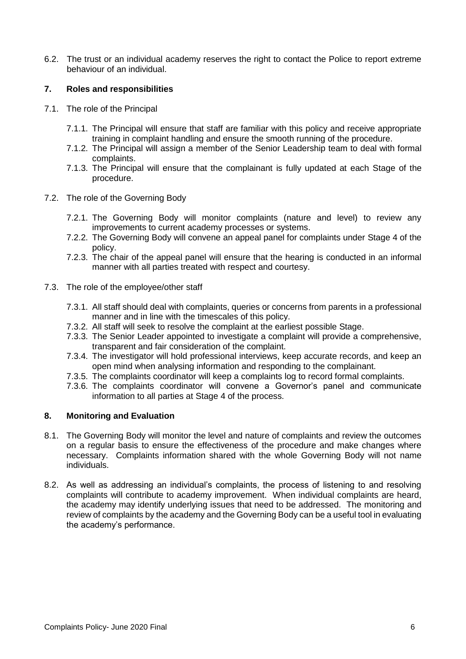6.2. The trust or an individual academy reserves the right to contact the Police to report extreme behaviour of an individual.

# **7. Roles and responsibilities**

- 7.1. The role of the Principal
	- 7.1.1. The Principal will ensure that staff are familiar with this policy and receive appropriate training in complaint handling and ensure the smooth running of the procedure.
	- 7.1.2. The Principal will assign a member of the Senior Leadership team to deal with formal complaints.
	- 7.1.3. The Principal will ensure that the complainant is fully updated at each Stage of the procedure.
- 7.2. The role of the Governing Body
	- 7.2.1. The Governing Body will monitor complaints (nature and level) to review any improvements to current academy processes or systems.
	- 7.2.2. The Governing Body will convene an appeal panel for complaints under Stage 4 of the policy.
	- 7.2.3. The chair of the appeal panel will ensure that the hearing is conducted in an informal manner with all parties treated with respect and courtesy.
- 7.3. The role of the employee/other staff
	- 7.3.1. All staff should deal with complaints, queries or concerns from parents in a professional manner and in line with the timescales of this policy.
	- 7.3.2. All staff will seek to resolve the complaint at the earliest possible Stage.
	- 7.3.3. The Senior Leader appointed to investigate a complaint will provide a comprehensive, transparent and fair consideration of the complaint.
	- 7.3.4. The investigator will hold professional interviews, keep accurate records, and keep an open mind when analysing information and responding to the complainant.
	- 7.3.5. The complaints coordinator will keep a complaints log to record formal complaints.
	- 7.3.6. The complaints coordinator will convene a Governor's panel and communicate information to all parties at Stage 4 of the process.

### **8. Monitoring and Evaluation**

- 8.1. The Governing Body will monitor the level and nature of complaints and review the outcomes on a regular basis to ensure the effectiveness of the procedure and make changes where necessary. Complaints information shared with the whole Governing Body will not name individuals.
- 8.2. As well as addressing an individual's complaints, the process of listening to and resolving complaints will contribute to academy improvement. When individual complaints are heard, the academy may identify underlying issues that need to be addressed. The monitoring and review of complaints by the academy and the Governing Body can be a useful tool in evaluating the academy's performance.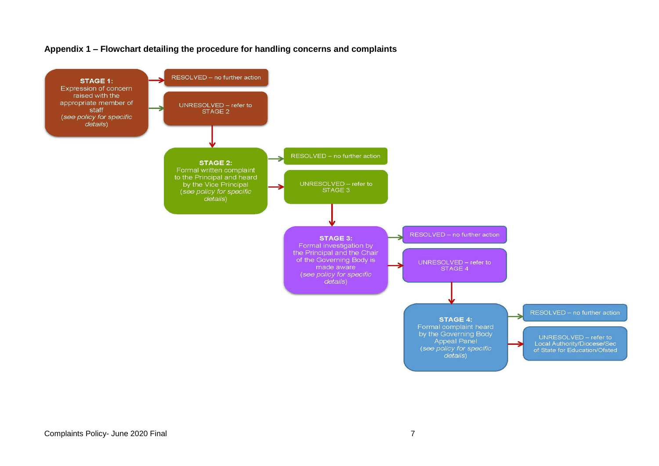

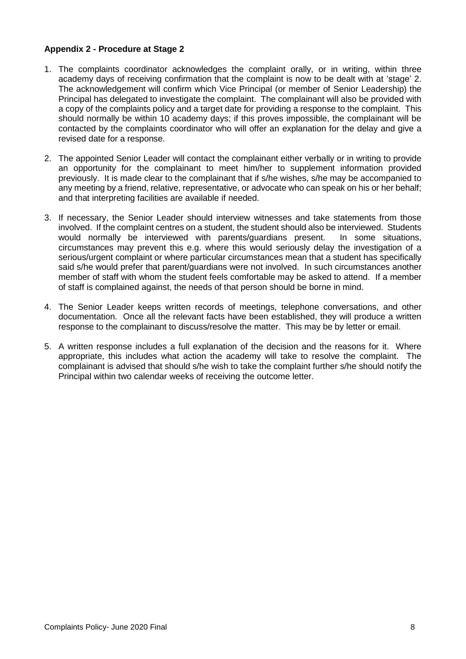# **Appendix 2 - Procedure at Stage 2**

- 1. The complaints coordinator acknowledges the complaint orally, or in writing, within three academy days of receiving confirmation that the complaint is now to be dealt with at 'stage' 2. The acknowledgement will confirm which Vice Principal (or member of Senior Leadership) the Principal has delegated to investigate the complaint. The complainant will also be provided with a copy of the complaints policy and a target date for providing a response to the complaint. This should normally be within 10 academy days; if this proves impossible, the complainant will be contacted by the complaints coordinator who will offer an explanation for the delay and give a revised date for a response.
- 2. The appointed Senior Leader will contact the complainant either verbally or in writing to provide an opportunity for the complainant to meet him/her to supplement information provided previously. It is made clear to the complainant that if s/he wishes, s/he may be accompanied to any meeting by a friend, relative, representative, or advocate who can speak on his or her behalf; and that interpreting facilities are available if needed.
- 3. If necessary, the Senior Leader should interview witnesses and take statements from those involved. If the complaint centres on a student, the student should also be interviewed. Students would normally be interviewed with parents/guardians present. In some situations, circumstances may prevent this e.g. where this would seriously delay the investigation of a serious/urgent complaint or where particular circumstances mean that a student has specifically said s/he would prefer that parent/guardians were not involved. In such circumstances another member of staff with whom the student feels comfortable may be asked to attend. If a member of staff is complained against, the needs of that person should be borne in mind.
- 4. The Senior Leader keeps written records of meetings, telephone conversations, and other documentation. Once all the relevant facts have been established, they will produce a written response to the complainant to discuss/resolve the matter. This may be by letter or email.
- 5. A written response includes a full explanation of the decision and the reasons for it. Where appropriate, this includes what action the academy will take to resolve the complaint. The complainant is advised that should s/he wish to take the complaint further s/he should notify the Principal within two calendar weeks of receiving the outcome letter.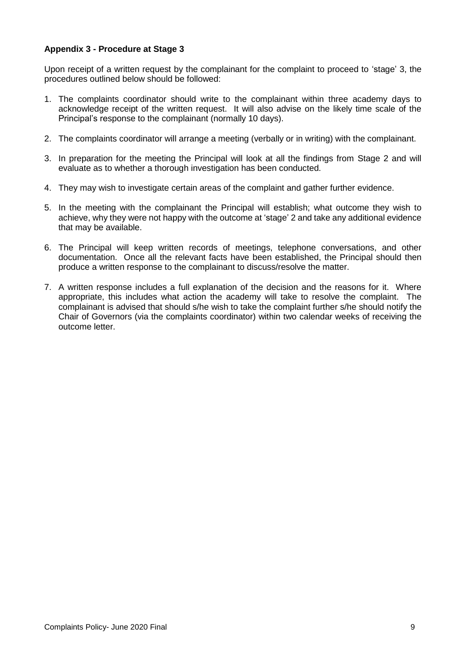# **Appendix 3 - Procedure at Stage 3**

Upon receipt of a written request by the complainant for the complaint to proceed to 'stage' 3, the procedures outlined below should be followed:

- 1. The complaints coordinator should write to the complainant within three academy days to acknowledge receipt of the written request. It will also advise on the likely time scale of the Principal's response to the complainant (normally 10 days).
- 2. The complaints coordinator will arrange a meeting (verbally or in writing) with the complainant.
- 3. In preparation for the meeting the Principal will look at all the findings from Stage 2 and will evaluate as to whether a thorough investigation has been conducted.
- 4. They may wish to investigate certain areas of the complaint and gather further evidence.
- 5. In the meeting with the complainant the Principal will establish; what outcome they wish to achieve, why they were not happy with the outcome at 'stage' 2 and take any additional evidence that may be available.
- 6. The Principal will keep written records of meetings, telephone conversations, and other documentation. Once all the relevant facts have been established, the Principal should then produce a written response to the complainant to discuss/resolve the matter.
- 7. A written response includes a full explanation of the decision and the reasons for it. Where appropriate, this includes what action the academy will take to resolve the complaint. The complainant is advised that should s/he wish to take the complaint further s/he should notify the Chair of Governors (via the complaints coordinator) within two calendar weeks of receiving the outcome letter.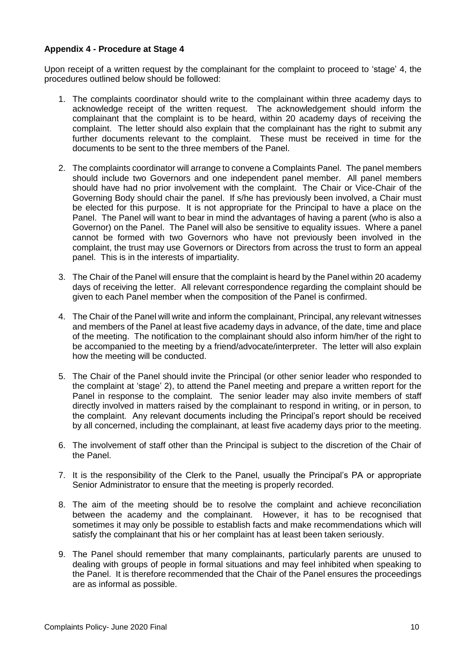### **Appendix 4 - Procedure at Stage 4**

Upon receipt of a written request by the complainant for the complaint to proceed to 'stage' 4, the procedures outlined below should be followed:

- 1. The complaints coordinator should write to the complainant within three academy days to acknowledge receipt of the written request. The acknowledgement should inform the complainant that the complaint is to be heard, within 20 academy days of receiving the complaint. The letter should also explain that the complainant has the right to submit any further documents relevant to the complaint. These must be received in time for the documents to be sent to the three members of the Panel.
- 2. The complaints coordinator will arrange to convene a Complaints Panel. The panel members should include two Governors and one independent panel member. All panel members should have had no prior involvement with the complaint. The Chair or Vice-Chair of the Governing Body should chair the panel. If s/he has previously been involved, a Chair must be elected for this purpose. It is not appropriate for the Principal to have a place on the Panel. The Panel will want to bear in mind the advantages of having a parent (who is also a Governor) on the Panel. The Panel will also be sensitive to equality issues. Where a panel cannot be formed with two Governors who have not previously been involved in the complaint, the trust may use Governors or Directors from across the trust to form an appeal panel. This is in the interests of impartiality.
- 3. The Chair of the Panel will ensure that the complaint is heard by the Panel within 20 academy days of receiving the letter. All relevant correspondence regarding the complaint should be given to each Panel member when the composition of the Panel is confirmed.
- 4. The Chair of the Panel will write and inform the complainant, Principal, any relevant witnesses and members of the Panel at least five academy days in advance, of the date, time and place of the meeting. The notification to the complainant should also inform him/her of the right to be accompanied to the meeting by a friend/advocate/interpreter. The letter will also explain how the meeting will be conducted.
- 5. The Chair of the Panel should invite the Principal (or other senior leader who responded to the complaint at 'stage' 2), to attend the Panel meeting and prepare a written report for the Panel in response to the complaint. The senior leader may also invite members of staff directly involved in matters raised by the complainant to respond in writing, or in person, to the complaint. Any relevant documents including the Principal's report should be received by all concerned, including the complainant, at least five academy days prior to the meeting.
- 6. The involvement of staff other than the Principal is subject to the discretion of the Chair of the Panel.
- 7. It is the responsibility of the Clerk to the Panel, usually the Principal's PA or appropriate Senior Administrator to ensure that the meeting is properly recorded.
- 8. The aim of the meeting should be to resolve the complaint and achieve reconciliation between the academy and the complainant. However, it has to be recognised that sometimes it may only be possible to establish facts and make recommendations which will satisfy the complainant that his or her complaint has at least been taken seriously.
- 9. The Panel should remember that many complainants, particularly parents are unused to dealing with groups of people in formal situations and may feel inhibited when speaking to the Panel. It is therefore recommended that the Chair of the Panel ensures the proceedings are as informal as possible.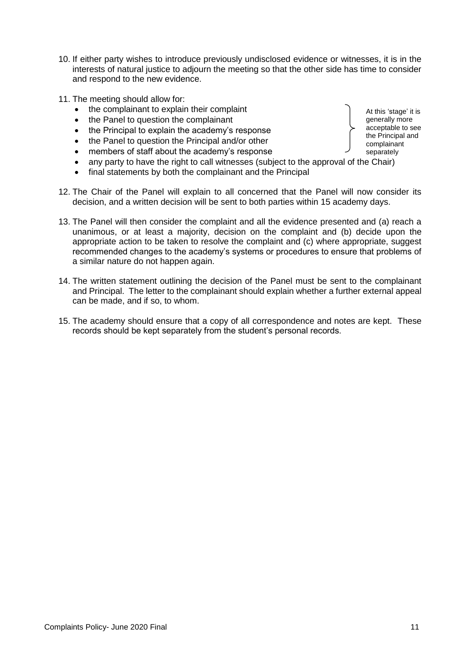- 10. If either party wishes to introduce previously undisclosed evidence or witnesses, it is in the interests of natural justice to adjourn the meeting so that the other side has time to consider and respond to the new evidence.
- 11. The meeting should allow for:
	- the complainant to explain their complaint
	- the Panel to question the complainant
	- the Principal to explain the academy's response
	- the Panel to question the Principal and/or other
	- members of staff about the academy's response
	- any party to have the right to call witnesses (subject to the approval of the Chair)
	- final statements by both the complainant and the Principal
- 12. The Chair of the Panel will explain to all concerned that the Panel will now consider its decision, and a written decision will be sent to both parties within 15 academy days.
- 13. The Panel will then consider the complaint and all the evidence presented and (a) reach a unanimous, or at least a majority, decision on the complaint and (b) decide upon the appropriate action to be taken to resolve the complaint and (c) where appropriate, suggest recommended changes to the academy's systems or procedures to ensure that problems of a similar nature do not happen again.
- 14. The written statement outlining the decision of the Panel must be sent to the complainant and Principal. The letter to the complainant should explain whether a further external appeal can be made, and if so, to whom.
- 15. The academy should ensure that a copy of all correspondence and notes are kept. These records should be kept separately from the student's personal records.

At this 'stage' it is generally more acceptable to see the Principal and complainant separately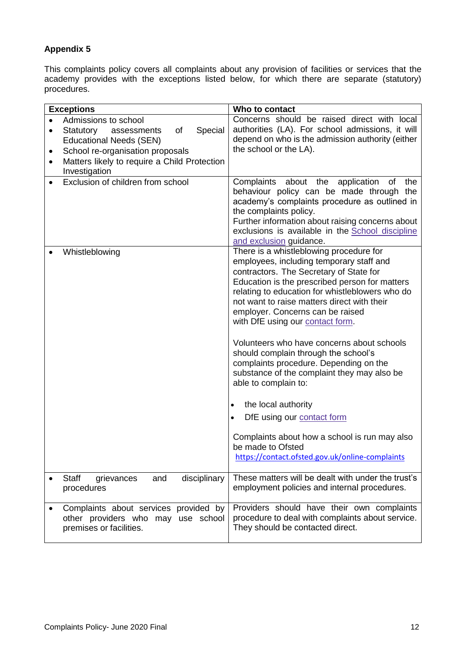# **Appendix 5**

This complaints policy covers all complaints about any provision of facilities or services that the academy provides with the exceptions listed below, for which there are separate (statutory) procedures.

| <b>Exceptions</b>                                                                                      | Who to contact                                                                                                                                                                                                                                                                                                                                             |
|--------------------------------------------------------------------------------------------------------|------------------------------------------------------------------------------------------------------------------------------------------------------------------------------------------------------------------------------------------------------------------------------------------------------------------------------------------------------------|
| Admissions to school<br>$\bullet$                                                                      | Concerns should be raised direct with local                                                                                                                                                                                                                                                                                                                |
| Special<br>of<br>Statutory<br>assessments<br>$\bullet$                                                 | authorities (LA). For school admissions, it will                                                                                                                                                                                                                                                                                                           |
| <b>Educational Needs (SEN)</b>                                                                         | depend on who is the admission authority (either                                                                                                                                                                                                                                                                                                           |
| School re-organisation proposals<br>٠                                                                  | the school or the LA).                                                                                                                                                                                                                                                                                                                                     |
| Matters likely to require a Child Protection<br>$\bullet$                                              |                                                                                                                                                                                                                                                                                                                                                            |
| Investigation                                                                                          |                                                                                                                                                                                                                                                                                                                                                            |
| Exclusion of children from school<br>$\bullet$                                                         | Complaints about the application<br>the<br>οf<br>behaviour policy can be made through the<br>academy's complaints procedure as outlined in<br>the complaints policy.<br>Further information about raising concerns about<br>exclusions is available in the School discipline<br>and exclusion guidance.                                                    |
| Whistleblowing                                                                                         | There is a whistleblowing procedure for<br>employees, including temporary staff and<br>contractors. The Secretary of State for<br>Education is the prescribed person for matters<br>relating to education for whistleblowers who do<br>not want to raise matters direct with their<br>employer. Concerns can be raised<br>with DfE using our contact form. |
|                                                                                                        | Volunteers who have concerns about schools<br>should complain through the school's<br>complaints procedure. Depending on the<br>substance of the complaint they may also be<br>able to complain to:<br>the local authority<br>$\bullet$<br>DfE using our contact form<br>Complaints about how a school is run may also<br>be made to Ofsted                |
|                                                                                                        | https://contact.ofsted.gov.uk/online-complaints                                                                                                                                                                                                                                                                                                            |
| <b>Staff</b><br>disciplinary<br>grievances<br>and<br>procedures                                        | These matters will be dealt with under the trust's<br>employment policies and internal procedures.                                                                                                                                                                                                                                                         |
| Complaints about services provided by<br>other providers who may use school<br>premises or facilities. | Providers should have their own complaints<br>procedure to deal with complaints about service.<br>They should be contacted direct.                                                                                                                                                                                                                         |